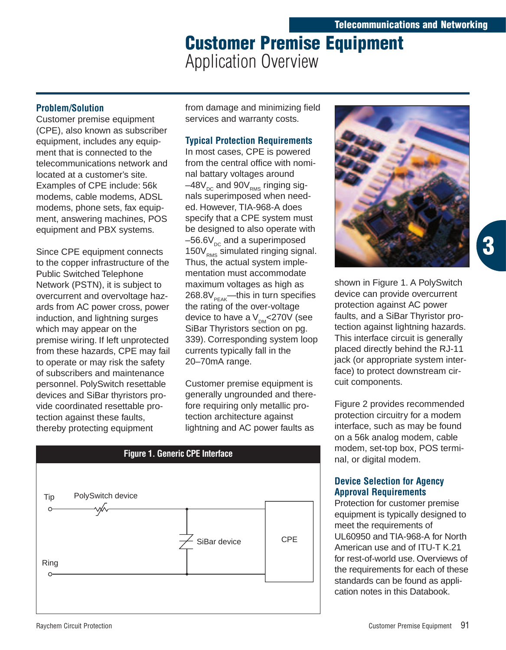# **Customer Premise Equipment** Application Overview

## **Problem/Solution**

Customer premise equipment (CPE), also known as subscriber equipment, includes any equipment that is connected to the telecommunications network and located at a customer's site. Examples of CPE include: 56k modems, cable modems, ADSL modems, phone sets, fax equipment, answering machines, POS equipment and PBX systems.

Since CPE equipment connects to the copper infrastructure of the Public Switched Telephone Network (PSTN), it is subject to overcurrent and overvoltage hazards from AC power cross, power induction, and lightning surges which may appear on the premise wiring. If left unprotected from these hazards, CPE may fail to operate or may risk the safety of subscribers and maintenance personnel. PolySwitch resettable devices and SiBar thyristors provide coordinated resettable protection against these faults, thereby protecting equipment

from damage and minimizing field services and warranty costs.

# **Typical Protection Requirements**

In most cases, CPE is powered from the central office with nominal battary voltages around  $-48V_{\text{DC}}$  and 90 $V_{\text{RMS}}$  ringing signals superimposed when needed. However, TIA-968-A does specify that a CPE system must be designed to also operate with  $-56.6V_{\text{pc}}$  and a superimposed  $150V<sub>RMS</sub>$  simulated ringing signal. Thus, the actual system implementation must accommodate maximum voltages as high as  $268.8V<sub>PEAK</sub>$ —this in turn specifies the rating of the over-voltage device to have a  $V_{DM}$ <270V (see SiBar Thyristors section on pg. 339). Corresponding system loop currents typically fall in the 20–70mA range.

Customer premise equipment is generally ungrounded and therefore requiring only metallic protection architecture against lightning and AC power faults as





shown in Figure 1. A PolySwitch device can provide overcurrent protection against AC power faults, and a SiBar Thyristor protection against lightning hazards. This interface circuit is generally placed directly behind the RJ-11 jack (or appropriate system interface) to protect downstream circuit components.

Figure 2 provides recommended protection circuitry for a modem interface, such as may be found on a 56k analog modem, cable modem, set-top box, POS terminal, or digital modem.

## **Device Selection for Agency Approval Requirements**

Protection for customer premise equipment is typically designed to meet the requirements of UL60950 and TIA-968-A for North American use and of ITU-T K.21 for rest-of-world use. Overviews of the requirements for each of these standards can be found as application notes in this Databook.